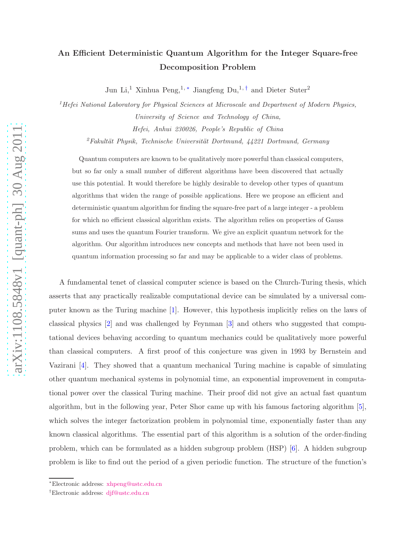## An Efficient Deterministic Quantum Algorithm for the Integer Square-free Decomposition Problem

Jun Li,<sup>1</sup> Xinhua Peng,<sup>1,\*</sup> Jiangfeng Du,<sup>1,[†](#page-0-1)</sup> and Dieter Suter<sup>2</sup>

<sup>1</sup> Hefei National Laboratory for Physical Sciences at Microscale and Department of Modern Physics, University of Science and Technology of China, Hefei, Anhui 230026, People's Republic of China

<sup>2</sup>Fakultät Physik, Technische Universität Dortmund,  $44221$  Dortmund, Germany

Quantum computers are known to be qualitatively more powerful than classical computers, but so far only a small number of different algorithms have been discovered that actually use this potential. It would therefore be highly desirable to develop other types of quantum algorithms that widen the range of possible applications. Here we propose an efficient and deterministic quantum algorithm for finding the square-free part of a large integer - a problem for which no efficient classical algorithm exists. The algorithm relies on properties of Gauss sums and uses the quantum Fourier transform. We give an explicit quantum network for the algorithm. Our algorithm introduces new concepts and methods that have not been used in quantum information processing so far and may be applicable to a wider class of problems.

A fundamental tenet of classical computer science is based on the Church-Turing thesis, which asserts that any practically realizable computational device can be simulated by a universal computer known as the Turing machine [\[1](#page-10-0)]. However, this hypothesis implicitly relies on the laws of classical physics [\[2](#page-10-1)] and was challenged by Feynman [\[3\]](#page-10-2) and others who suggested that computational devices behaving according to quantum mechanics could be qualitatively more powerful than classical computers. A first proof of this conjecture was given in 1993 by Bernstein and Vazirani [\[4](#page-10-3)]. They showed that a quantum mechanical Turing machine is capable of simulating other quantum mechanical systems in polynomial time, an exponential improvement in computational power over the classical Turing machine. Their proof did not give an actual fast quantum algorithm, but in the following year, Peter Shor came up with his famous factoring algorithm [\[5](#page-10-4)], which solves the integer factorization problem in polynomial time, exponentially faster than any known classical algorithms. The essential part of this algorithm is a solution of the order-finding problem, which can be formulated as a hidden subgroup problem (HSP) [\[6\]](#page-10-5). A hidden subgroup problem is like to find out the period of a given periodic function. The structure of the function's

<span id="page-0-0"></span><sup>∗</sup>Electronic address: [xhpeng@ustc.edu.cn](mailto:xhpeng@ustc.edu.cn)

<span id="page-0-1"></span><sup>†</sup>Electronic address: [djf@ustc.edu.cn](mailto:djf@ustc.edu.cn)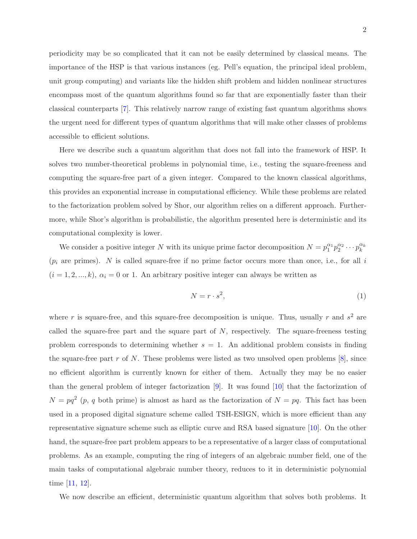periodicity may be so complicated that it can not be easily determined by classical means. The importance of the HSP is that various instances (eg. Pell's equation, the principal ideal problem, unit group computing) and variants like the hidden shift problem and hidden nonlinear structures encompass most of the quantum algorithms found so far that are exponentially faster than their classical counterparts [\[7](#page-10-6)]. This relatively narrow range of existing fast quantum algorithms shows the urgent need for different types of quantum algorithms that will make other classes of problems accessible to efficient solutions.

Here we describe such a quantum algorithm that does not fall into the framework of HSP. It solves two number-theoretical problems in polynomial time, i.e., testing the square-freeness and computing the square-free part of a given integer. Compared to the known classical algorithms, this provides an exponential increase in computational efficiency. While these problems are related to the factorization problem solved by Shor, our algorithm relies on a different approach. Furthermore, while Shor's algorithm is probabilistic, the algorithm presented here is deterministic and its computational complexity is lower.

We consider a positive integer N with its unique prime factor decomposition  $N = p_1^{\alpha_1} p_2^{\alpha_2} \cdots p_k^{\alpha_k}$ k  $(p_i$  are primes). N is called square-free if no prime factor occurs more than once, i.e., for all i  $(i = 1, 2, ..., k)$ ,  $\alpha_i = 0$  or 1. An arbitrary positive integer can always be written as

$$
N = r \cdot s^2,\tag{1}
$$

where r is square-free, and this square-free decomposition is unique. Thus, usually r and  $s^2$  are called the square-free part and the square part of  $N$ , respectively. The square-freeness testing problem corresponds to determining whether  $s = 1$ . An additional problem consists in finding the square-free part  $r$  of  $N$ . These problems were listed as two unsolved open problems  $[8]$ , since no efficient algorithm is currently known for either of them. Actually they may be no easier than the general problem of integer factorization [\[9\]](#page-10-8). It was found [\[10](#page-10-9)] that the factorization of  $N = pq^2$  (p, q both prime) is almost as hard as the factorization of  $N = pq$ . This fact has been used in a proposed digital signature scheme called TSH-ESIGN, which is more efficient than any representative signature scheme such as elliptic curve and RSA based signature [\[10\]](#page-10-9). On the other hand, the square-free part problem appears to be a representative of a larger class of computational problems. As an example, computing the ring of integers of an algebraic number field, one of the main tasks of computational algebraic number theory, reduces to it in deterministic polynomial time [\[11,](#page-10-10) [12](#page-10-11)].

We now describe an efficient, deterministic quantum algorithm that solves both problems. It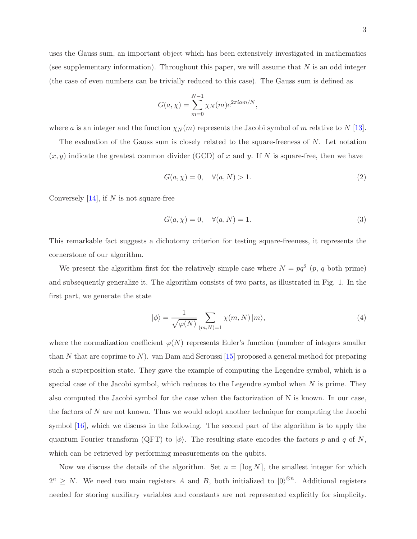uses the Gauss sum, an important object which has been extensively investigated in mathematics (see supplementary information). Throughout this paper, we will assume that  $N$  is an odd integer (the case of even numbers can be trivially reduced to this case). The Gauss sum is defined as

$$
G(a,\chi) = \sum_{m=0}^{N-1} \chi_N(m) e^{2\pi i a m/N},
$$

where a is an integer and the function  $\chi_N(m)$  represents the Jacobi symbol of m relative to N [\[13](#page-10-12)].

The evaluation of the Gauss sum is closely related to the square-freeness of N. Let notation  $(x, y)$  indicate the greatest common divider (GCD) of x and y. If N is square-free, then we have

<span id="page-2-1"></span>
$$
G(a, \chi) = 0, \quad \forall (a, N) > 1.
$$
\n
$$
(2)
$$

Conversely  $[14]$ , if N is not square-free

<span id="page-2-2"></span>
$$
G(a,\chi) = 0, \quad \forall (a,N) = 1.
$$
\n
$$
(3)
$$

This remarkable fact suggests a dichotomy criterion for testing square-freeness, it represents the cornerstone of our algorithm.

We present the algorithm first for the relatively simple case where  $N = pq^2$  (p, q both prime) and subsequently generalize it. The algorithm consists of two parts, as illustrated in Fig. 1. In the first part, we generate the state

<span id="page-2-0"></span>
$$
|\phi\rangle = \frac{1}{\sqrt{\varphi(N)}} \sum_{(m,N)=1} \chi(m,N) |m\rangle, \tag{4}
$$

where the normalization coefficient  $\varphi(N)$  represents Euler's function (number of integers smaller than N that are coprime to N). van Dam and Seroussi  $[15]$  proposed a general method for preparing such a superposition state. They gave the example of computing the Legendre symbol, which is a special case of the Jacobi symbol, which reduces to the Legendre symbol when  $N$  is prime. They also computed the Jacobi symbol for the case when the factorization of N is known. In our case, the factors of N are not known. Thus we would adopt another technique for computing the Jaocbi symbol [\[16\]](#page-10-15), which we discuss in the following. The second part of the algorithm is to apply the quantum Fourier transform (QFT) to  $|\phi\rangle$ . The resulting state encodes the factors p and q of N, which can be retrieved by performing measurements on the qubits.

Now we discuss the details of the algorithm. Set  $n = \lceil \log N \rceil$ , the smallest integer for which  $2^n \geq N$ . We need two main registers A and B, both initialized to  $|0\rangle^{\otimes n}$ . Additional registers needed for storing auxiliary variables and constants are not represented explicitly for simplicity.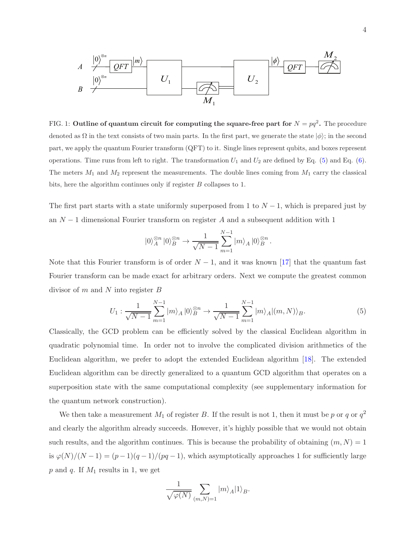

FIG. 1: Outline of quantum circuit for computing the square-free part for  $N = pq^2$ . The procedure denoted as  $\Omega$  in the text consists of two main parts. In the first part, we generate the state  $|\phi\rangle$ ; in the second part, we apply the quantum Fourier transform (QFT) to it. Single lines represent qubits, and boxes represent operations. Time runs from left to right. The transformation  $U_1$  and  $U_2$  are defined by Eq. [\(5\)](#page-3-0) and Eq. [\(6\)](#page-4-0). The meters  $M_1$  and  $M_2$  represent the measurements. The double lines coming from  $M_1$  carry the classical bits, here the algorithm continues only if register B collapses to 1.

The first part starts with a state uniformly superposed from 1 to  $N-1$ , which is prepared just by an  $N-1$  dimensional Fourier transform on register A and a subsequent addition with 1

$$
|0\rangle^{\otimes n}_A |0\rangle^{\otimes n}_B \to \frac{1}{\sqrt{N-1}} \sum_{m=1}^{N-1} |m\rangle_A |0\rangle^{\otimes n}_B.
$$

Note that this Fourier transform is of order  $N-1$ , and it was known [\[17](#page-11-0)] that the quantum fast Fourier transform can be made exact for arbitrary orders. Next we compute the greatest common divisor of  $m$  and  $N$  into register  $B$ 

<span id="page-3-0"></span>
$$
U_1: \frac{1}{\sqrt{N-1}} \sum_{m=1}^{N-1} |m\rangle_A |0\rangle_B^{\otimes n} \to \frac{1}{\sqrt{N-1}} \sum_{m=1}^{N-1} |m\rangle_A |(m, N)\rangle_B.
$$
 (5)

Classically, the GCD problem can be efficiently solved by the classical Euclidean algorithm in quadratic polynomial time. In order not to involve the complicated division arithmetics of the Euclidean algorithm, we prefer to adopt the extended Euclidean algorithm [\[18\]](#page-11-1). The extended Euclidean algorithm can be directly generalized to a quantum GCD algorithm that operates on a superposition state with the same computational complexity (see supplementary information for the quantum network construction).

We then take a measurement  $M_1$  of register B. If the result is not 1, then it must be p or q or  $q^2$ and clearly the algorithm already succeeds. However, it's highly possible that we would not obtain such results, and the algorithm continues. This is because the probability of obtaining  $(m, N) = 1$ is  $\varphi(N)/(N-1) = (p-1)(q-1)/(pq-1)$ , which asymptotically approaches 1 for sufficiently large  $p$  and  $q$ . If  $M_1$  results in 1, we get

$$
\frac{1}{\sqrt{\varphi(N)}}\sum_{(m,N)=1}|m\rangle_A|1\rangle_B.
$$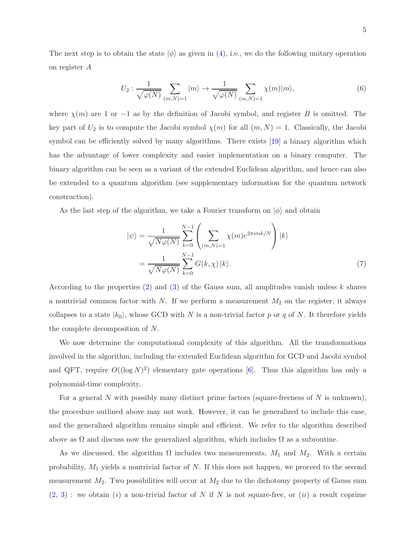The next step is to obtain the state  $|\phi\rangle$  as given in [\(4\)](#page-2-0), i.e., we do the following unitary operation on register A

<span id="page-4-0"></span>
$$
U_2: \frac{1}{\sqrt{\varphi(N)}} \sum_{(m,N)=1} |m\rangle \to \frac{1}{\sqrt{\varphi(N)}} \sum_{(m,N)=1} \chi(m)|m\rangle, \tag{6}
$$

where  $\chi(m)$  are 1 or −1 as by the definition of Jacobi symbol, and register B is omitted. The key part of  $U_2$  is to compute the Jacobi symbol  $\chi(m)$  for all  $(m, N) = 1$ . Classically, the Jacobi symbol can be efficiently solved by many algorithms. There exists [\[19](#page-11-2)] a binary algorithm which has the advantage of lower complexity and easier implementation on a binary computer. The binary algorithm can be seen as a variant of the extended Euclidean algorithm, and hence can also be extended to a quantum algorithm (see supplementary information for the quantum network construction).

As the last step of the algorithm, we take a Fourier transform on  $|\phi\rangle$  and obtain

$$
|\psi\rangle = \frac{1}{\sqrt{N\varphi(N)}} \sum_{k=0}^{N-1} \left( \sum_{(m,N)=1} \chi(m) e^{2\pi i mk/N} \right) |k\rangle
$$

$$
= \frac{1}{\sqrt{N\varphi(N)}} \sum_{k=0}^{N-1} G(k,\chi) |k\rangle.
$$
(7)

According to the properties  $(2)$  and  $(3)$  of the Gauss sum, all amplitudes vanish unless k shares a nontrivial common factor with  $N$ . If we perform a measurement  $M_2$  on the register, it always collapses to a state  $|k_0\rangle$ , whose GCD with N is a non-trivial factor p or q of N. It therefore yields the complete decomposition of N.

We now determine the computational complexity of this algorithm. All the transformations involved in the algorithm, including the extended Euclidean algorithm for GCD and Jacobi symbol and QFT, require  $O((\log N)^2)$  elementary gate operations [\[6\]](#page-10-5). Thus this algorithm has only a polynomial-time complexity.

For a general N with possibly many distinct prime factors (square-freeness of  $N$  is unknown), the procedure outlined above may not work. However, it can be generalized to include this case, and the generalized algorithm remains simple and efficient. We refer to the algorithm described above as  $\Omega$  and discuss now the generalized algorithm, which includes  $\Omega$  as a subroutine.

As we discussed, the algorithm  $\Omega$  includes two measurements,  $M_1$  and  $M_2$ . With a certain probability,  $M_1$  yields a nontrivial factor of N. If this does not happen, we proceed to the second measurement  $M_2$ . Two possibilities will occur at  $M_2$  due to the dichotomy property of Gauss sum  $(2, 3)$  $(2, 3)$  $(2, 3)$ : we obtain  $(i)$  a non-trivial factor of N if N is not square-free, or  $(ii)$  a result coprime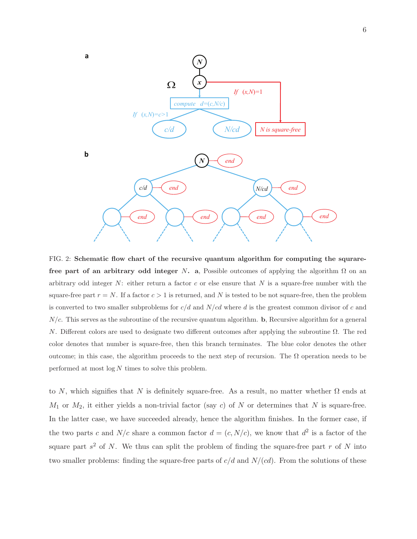

FIG. 2: Schematic flow chart of the recursive quantum algorithm for computing the squrarefree part of an arbitrary odd integer N. a, Possible outcomes of applying the algorithm  $\Omega$  on an arbitrary odd integer  $N$ : either return a factor c or else ensure that N is a square-free number with the square-free part  $r = N$ . If a factor  $c > 1$  is returned, and N is tested to be not square-free, then the problem is converted to two smaller subproblems for  $c/d$  and  $N/cd$  where d is the greatest common divisor of c and  $N/c$ . This serves as the subroutine of the recursive quantum algorithm. b, Recursive algorithm for a general N. Different colors are used to designate two different outcomes after applying the subroutine Ω. The red color denotes that number is square-free, then this branch terminates. The blue color denotes the other outcome; in this case, the algorithm proceeds to the next step of recursion. The  $\Omega$  operation needs to be performed at most  $\log N$  times to solve this problem.

to N, which signifies that N is definitely square-free. As a result, no matter whether  $\Omega$  ends at  $M_1$  or  $M_2$ , it either yields a non-trivial factor (say c) of N or determines that N is square-free. In the latter case, we have succeeded already, hence the algorithm finishes. In the former case, if the two parts c and  $N/c$  share a common factor  $d = (c, N/c)$ , we know that  $d<sup>2</sup>$  is a factor of the square part  $s^2$  of N. We thus can split the problem of finding the square-free part r of N into two smaller problems: finding the square-free parts of  $c/d$  and  $N/(cd)$ . From the solutions of these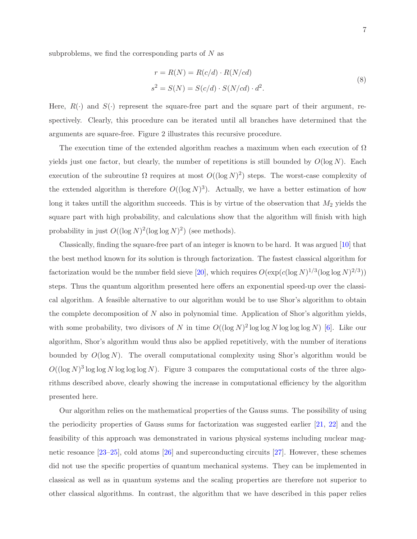$$
r = R(N) = R(c/d) \cdot R(N/cd)
$$
  
\n
$$
s2 = S(N) = S(c/d) \cdot S(N/cd) \cdot d2.
$$
\n(8)

Here,  $R(\cdot)$  and  $S(\cdot)$  represent the square-free part and the square part of their argument, respectively. Clearly, this procedure can be iterated until all branches have determined that the arguments are square-free. Figure 2 illustrates this recursive procedure.

The execution time of the extended algorithm reaches a maximum when each execution of  $\Omega$ yields just one factor, but clearly, the number of repetitions is still bounded by  $O(\log N)$ . Each execution of the subroutine  $\Omega$  requires at most  $O((\log N)^2)$  steps. The worst-case complexity of the extended algorithm is therefore  $O((\log N)^3)$ . Actually, we have a better estimation of how long it takes untill the algorithm succeeds. This is by virtue of the observation that  $M_2$  yields the square part with high probability, and calculations show that the algorithm will finish with high probability in just  $O((\log N)^2(\log \log N)^2)$  (see methods).

Classically, finding the square-free part of an integer is known to be hard. It was argued [\[10](#page-10-9)] that the best method known for its solution is through factorization. The fastest classical algorithm for factorization would be the number field sieve [\[20](#page-11-3)], which requires  $O(\exp(c(\log N)^{1/3}(\log \log N)^{2/3}))$ steps. Thus the quantum algorithm presented here offers an exponential speed-up over the classical algorithm. A feasible alternative to our algorithm would be to use Shor's algorithm to obtain the complete decomposition of  $N$  also in polynomial time. Application of Shor's algorithm yields, with some probability, two divisors of N in time  $O((\log N)^2 \log \log N \log \log N)$  [\[6\]](#page-10-5). Like our algorithm, Shor's algorithm would thus also be applied repetitively, with the number of iterations bounded by  $O(\log N)$ . The overall computational complexity using Shor's algorithm would be  $O((\log N)^3 \log \log N \log \log N)$ . Figure 3 compares the computational costs of the three algorithms described above, clearly showing the increase in computational efficiency by the algorithm presented here.

Our algorithm relies on the mathematical properties of the Gauss sums. The possibility of using the periodicity properties of Gauss sums for factorization was suggested earlier [\[21](#page-11-4), [22\]](#page-11-5) and the feasibility of this approach was demonstrated in various physical systems including nuclear magnetic resoance [\[23](#page-11-6)[–25\]](#page-11-7), cold atoms [\[26](#page-11-8)] and superconducting circuits [\[27](#page-11-9)]. However, these schemes did not use the specific properties of quantum mechanical systems. They can be implemented in classical as well as in quantum systems and the scaling properties are therefore not superior to other classical algorithms. In contrast, the algorithm that we have described in this paper relies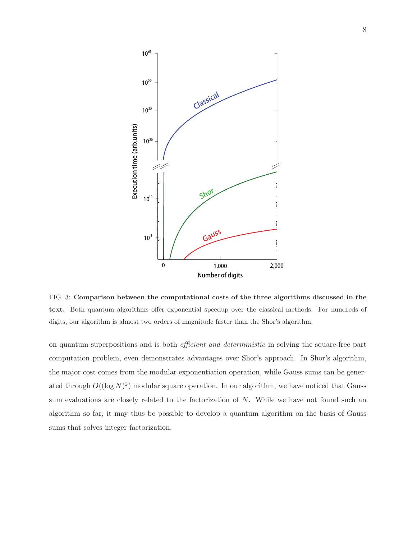

FIG. 3: Comparison between the computational costs of the three algorithms discussed in the text. Both quantum algorithms offer exponential speedup over the classical methods. For hundreds of digits, our algorithm is almost two orders of magnitude faster than the Shor's algorithm.

on quantum superpositions and is both efficient and deterministic in solving the square-free part computation problem, even demonstrates advantages over Shor's approach. In Shor's algorithm, the major cost comes from the modular exponentiation operation, while Gauss sums can be generated through  $O((\log N)^2)$  modular square operation. In our algorithm, we have noticed that Gauss sum evaluations are closely related to the factorization of N. While we have not found such an algorithm so far, it may thus be possible to develop a quantum algorithm on the basis of Gauss sums that solves integer factorization.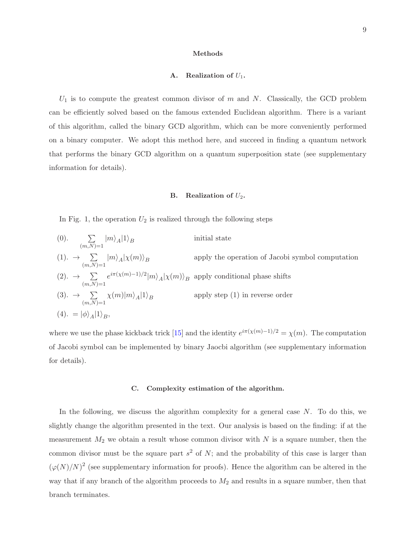#### A. Realization of  $U_1$ .

 $U_1$  is to compute the greatest common divisor of m and N. Classically, the GCD problem can be efficiently solved based on the famous extended Euclidean algorithm. There is a variant of this algorithm, called the binary GCD algorithm, which can be more conveniently performed on a binary computer. We adopt this method here, and succeed in finding a quantum network that performs the binary GCD algorithm on a quantum superposition state (see supplementary information for details).

#### **B.** Realization of  $U_2$ .

In Fig. 1, the operation  $U_2$  is realized through the following steps

(0). 
$$
\sum_{(m,N)=1} |m\rangle_A |1\rangle_B
$$
 initial state  
\n(1).  $\rightarrow \sum_{(m,N)=1} |m\rangle_A |\chi(m)\rangle_B$  apply the operation of Jacobi symbol computation  
\n(2).  $\rightarrow \sum_{(m,N)=1} e^{i\pi(\chi(m)-1)/2} |m\rangle_A |\chi(m)\rangle_B$  apply conditional phase shifts  
\n(3).  $\rightarrow \sum_{(m,N)=1} \chi(m) |m\rangle_A |1\rangle_B$  apply step (1) in reverse order  
\n(4).  $= |\phi\rangle_A |1\rangle_B$ ,

where we use the phase kickback trick [\[15](#page-10-14)] and the identity  $e^{i\pi(\chi(m)-1)/2} = \chi(m)$ . The computation of Jacobi symbol can be implemented by binary Jaocbi algorithm (see supplementary information for details).

#### C. Complexity estimation of the algorithm.

In the following, we discuss the algorithm complexity for a general case  $N$ . To do this, we slightly change the algorithm presented in the text. Our analysis is based on the finding: if at the measurement  $M_2$  we obtain a result whose common divisor with N is a square number, then the common divisor must be the square part  $s^2$  of N; and the probability of this case is larger than  $(\varphi(N)/N)^2$  (see supplementary information for proofs). Hence the algorithm can be altered in the way that if any branch of the algorithm proceeds to  $M_2$  and results in a square number, then that branch terminates.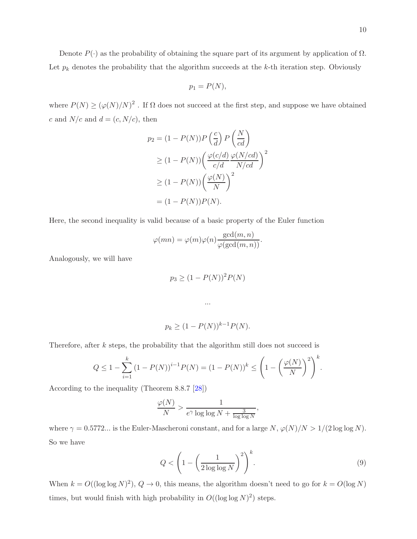$$
p_1 = P(N),
$$

where  $P(N) \geq (\varphi(N)/N)^2$ . If  $\Omega$  does not succeed at the first step, and suppose we have obtained c and  $N/c$  and  $d = (c, N/c)$ , then

$$
p_2 = (1 - P(N))P\left(\frac{c}{d}\right)P\left(\frac{N}{cd}\right)
$$
  
\n
$$
\geq (1 - P(N))\left(\frac{\varphi(c/d)}{c/d} \frac{\varphi(N/cd)}{N/cd}\right)^2
$$
  
\n
$$
\geq (1 - P(N))\left(\frac{\varphi(N)}{N}\right)^2
$$
  
\n
$$
= (1 - P(N))P(N).
$$

Here, the second inequality is valid because of a basic property of the Euler function

$$
\varphi(mn) = \varphi(m)\varphi(n)\frac{\gcd(m,n)}{\varphi(\gcd(m,n))}.
$$

Analogously, we will have

$$
p_3 \ge (1 - P(N))^2 P(N)
$$

...

$$
p_k \ge (1 - P(N))^{k-1} P(N).
$$

Therefore, after k steps, the probability that the algorithm still does not succeed is

$$
Q \le 1 - \sum_{i=1}^{k} (1 - P(N))^{i-1} P(N) = (1 - P(N))^{k} \le \left( 1 - \left( \frac{\varphi(N)}{N} \right)^{2} \right)^{k}.
$$

According to the inequality (Theorem 8.8.7 [\[28\]](#page-11-10))

$$
\frac{\varphi(N)}{N} > \frac{1}{e^{\gamma} \log \log N + \frac{3}{\log \log N}},
$$

where  $\gamma = 0.5772...$  is the Euler-Mascheroni constant, and for a large  $N$ ,  $\varphi(N)/N > 1/(2 \log \log N)$ . So we have

$$
Q < \left(1 - \left(\frac{1}{2\log\log N}\right)^2\right)^k.\tag{9}
$$

When  $k = O((\log \log N)^2)$ ,  $Q \to 0$ , this means, the algorithm doesn't need to go for  $k = O(\log N)$ times, but would finish with high probability in  $O((\log \log N)^2)$  steps.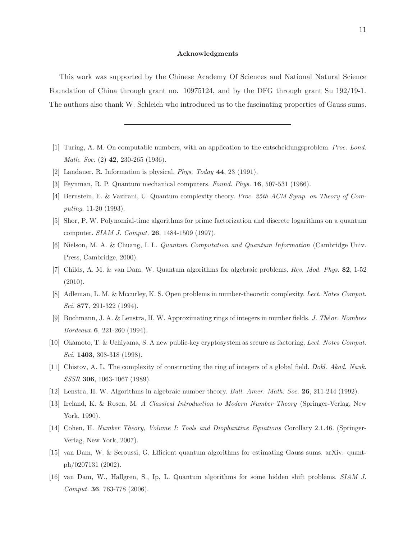#### Acknowledgments

This work was supported by the Chinese Academy Of Sciences and National Natural Science Foundation of China through grant no. 10975124, and by the DFG through grant Su 192/19-1. The authors also thank W. Schleich who introduced us to the fascinating properties of Gauss sums.

- <span id="page-10-0"></span>[1] Turing, A. M. On computable numbers, with an application to the entscheidungsproblem. Proc. Lond. Math. Soc. (2) **42**, 230-265 (1936).
- <span id="page-10-1"></span>[2] Landauer, R. Information is physical. Phys. Today 44, 23 (1991).
- <span id="page-10-2"></span>[3] Feynman, R. P. Quantum mechanical computers. Found. Phys. 16, 507-531 (1986).
- <span id="page-10-3"></span>[4] Bernstein, E. & Vazirani, U. Quantum complexity theory. Proc. 25th ACM Symp. on Theory of Computing, 11-20 (1993).
- <span id="page-10-4"></span>[5] Shor, P. W. Polynomial-time algorithms for prime factorization and discrete logarithms on a quantum computer. SIAM J. Comput. 26, 1484-1509 (1997).
- <span id="page-10-5"></span>[6] Nielson, M. A. & Chuang, I. L. Quantum Computation and Quantum Information (Cambridge Univ. Press, Cambridge, 2000).
- <span id="page-10-6"></span>[7] Childs, A. M. & van Dam, W. Quantum algorithms for algebraic problems. Rev. Mod. Phys. 82, 1-52 (2010).
- <span id="page-10-7"></span>[8] Adleman, L. M. & Mccurley, K. S. Open problems in number-theoretic complexity. Lect. Notes Comput. Sci. 8**77**, 291-322 (1994).
- <span id="page-10-8"></span>[9] Buchmann, J. A. & Lenstra, H. W. Approximating rings of integers in number fields. J. Théor. Nombres Bordeaux 6, 221-260 (1994).
- <span id="page-10-9"></span>[10] Okamoto, T. & Uchiyama, S. A new public-key cryptosystem as secure as factoring. Lect. Notes Comput. Sci. **1403**, 308-318 (1998).
- <span id="page-10-10"></span>[11] Chistov, A. L. The complexity of constructing the ring of integers of a global field. Dokl. Akad. Nauk. SSSR 306, 1063-1067 (1989).
- <span id="page-10-11"></span>[12] Lenstra, H. W. Algorithms in algebraic number theory. Bull. Amer. Math. Soc. 26, 211-244 (1992).
- <span id="page-10-12"></span>[13] Ireland, K. & Rosen, M. A Classical Introduction to Modern Number Theory (Springer-Verlag, New York, 1990).
- <span id="page-10-13"></span>[14] Cohen, H. Number Theory, Volume I: Tools and Diophantine Equations Corollary 2.1.46. (Springer-Verlag, New York, 2007).
- <span id="page-10-14"></span>[15] van Dam, W. & Seroussi, G. Efficient quantum algorithms for estimating Gauss sums. arXiv: quantph/0207131 (2002).
- <span id="page-10-15"></span>[16] van Dam, W., Hallgren, S., Ip, L. Quantum algorithms for some hidden shift problems. SIAM J. Comput. 36, 763-778 (2006).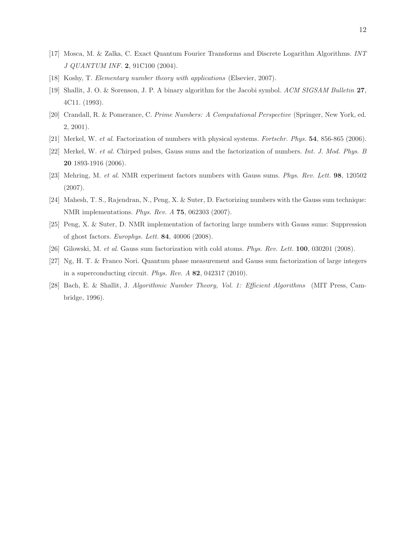- <span id="page-11-0"></span>[17] Mosca, M. & Zalka, C. Exact Quantum Fourier Transforms and Discrete Logarithm Algorithms. INT J QUANTUM INF. 2, 91C100 (2004).
- <span id="page-11-1"></span>[18] Koshy, T. Elementary number theory with applications (Elsevier, 2007).
- <span id="page-11-2"></span>[19] Shallit, J. O. & Sorenson, J. P. A binary algorithm for the Jacobi symbol. ACM SIGSAM Bulletin 27, 4C11. (1993).
- <span id="page-11-3"></span>[20] Crandall, R. & Pomerance, C. Prime Numbers: A Computational Perspective (Springer, New York, ed. 2, 2001).
- <span id="page-11-4"></span>[21] Merkel, W. et al. Factorization of numbers with physical systems. Fortschr. Phys. 54, 856-865 (2006).
- <span id="page-11-5"></span>[22] Merkel, W. et al. Chirped pulses, Gauss sums and the factorization of numbers. Int. J. Mod. Phys. B 20 1893-1916 (2006).
- <span id="page-11-6"></span>[23] Mehring, M. et al. NMR experiment factors numbers with Gauss sums. Phys. Rev. Lett. 98, 120502 (2007).
- [24] Mahesh, T. S., Rajendran, N., Peng, X. & Suter, D. Factorizing numbers with the Gauss sum technique: NMR implementations. Phys. Rev. A 75, 062303 (2007).
- <span id="page-11-7"></span>[25] Peng, X. & Suter, D. NMR implementation of factoring large numbers with Gauss sums: Suppression of ghost factors. Europhys. Lett. 84, 40006 (2008).
- <span id="page-11-8"></span>[26] Gilowski, M. et al. Gauss sum factorization with cold atoms. Phys. Rev. Lett. 100, 030201 (2008).
- <span id="page-11-9"></span>[27] Ng, H. T. & Franco Nori. Quantum phase measurement and Gauss sum factorization of large integers in a superconducting circuit. Phys. Rev. A 82, 042317 (2010).
- <span id="page-11-10"></span>[28] Bach, E. & Shallit, J. Algorithmic Number Theory, Vol. 1: Efficient Algorithms (MIT Press, Cambridge, 1996).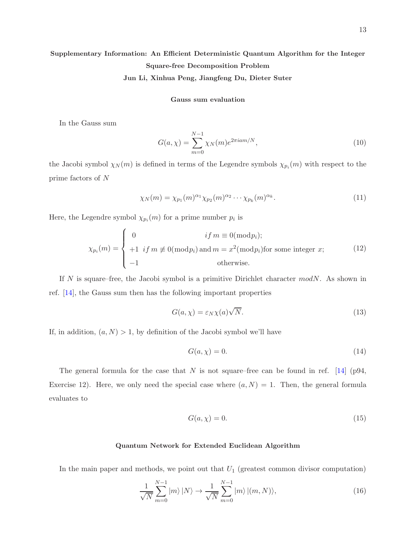# Supplementary Information: An Efficient Deterministic Quantum Algorithm for the Integer Square-free Decomposition Problem

Jun Li, Xinhua Peng, Jiangfeng Du, Dieter Suter

#### Gauss sum evaluation

In the Gauss sum

$$
G(a, \chi) = \sum_{m=0}^{N-1} \chi_N(m) e^{2\pi i a m/N},
$$
\n(10)

the Jacobi symbol  $\chi_N(m)$  is defined in terms of the Legendre symbols  $\chi_{p_i}(m)$  with respect to the prime factors of N

$$
\chi_N(m) = \chi_{p_1}(m)^{\alpha_1} \chi_{p_2}(m)^{\alpha_2} \cdots \chi_{p_k}(m)^{\alpha_k}.
$$
 (11)

Here, the Legendre symbol  $\chi_{p_i}(m)$  for a prime number  $p_i$  is

$$
\chi_{p_i}(m) = \begin{cases}\n0 & if \ m \equiv 0(\bmod p_i); \\
+1 & if \ m \not\equiv 0(\bmod p_i) \text{ and } m = x^2(\bmod p_i) \text{ for some integer } x; \\
-1 & otherwise.\n\end{cases}
$$
\n(12)

If N is square–free, the Jacobi symbol is a primitive Dirichlet character  $modN$ . As shown in ref. [\[14](#page-10-13)], the Gauss sum then has the following important properties

$$
G(a, \chi) = \varepsilon_N \chi(a) \sqrt{N}.
$$
\n(13)

If, in addition,  $(a, N) > 1$ , by definition of the Jacobi symbol we'll have

$$
G(a, \chi) = 0. \tag{14}
$$

The general formula for the case that N is not square–free can be found in ref. [\[14](#page-10-13)] (p94, Exercise 12). Here, we only need the special case where  $(a, N) = 1$ . Then, the general formula evaluates to

$$
G(a,\chi) = 0.\t(15)
$$

#### Quantum Network for Extended Euclidean Algorithm

In the main paper and methods, we point out that  $U_1$  (greatest common divisor computation)

$$
\frac{1}{\sqrt{N}}\sum_{m=0}^{N-1}|m\rangle|N\rangle \to \frac{1}{\sqrt{N}}\sum_{m=0}^{N-1}|m\rangle|(m,N)\rangle,\tag{16}
$$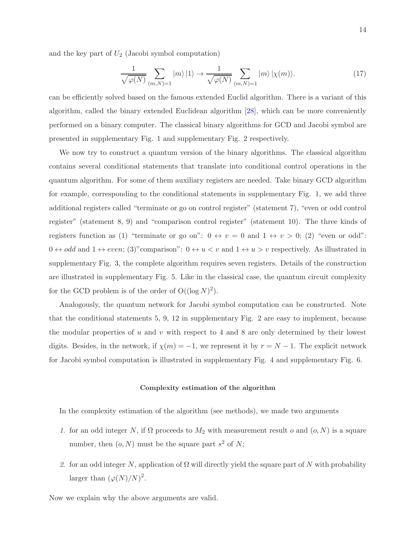and the key part of  $U_2$  (Jacobi symbol computation)

$$
\frac{1}{\sqrt{\varphi(N)}} \sum_{(m,N)=1} |m\rangle |1\rangle \to \frac{1}{\sqrt{\varphi(N)}} \sum_{(m,N)=1} |m\rangle |\chi(m)\rangle. \tag{17}
$$

can be efficiently solved based on the famous extended Euclid algorithm. There is a variant of this algorithm, called the binary extended Euclidean algorithm [\[28](#page-11-10)], which can be more conveniently performed on a binary computer. The classical binary algorithms for GCD and Jacobi symbol are presented in supplementary Fig. 1 and supplementary Fig. 2 respectively.

We now try to construct a quantum version of the binary algorithms. The classical algorithm contains several conditional statements that translate into conditional control operations in the quantum algorithm. For some of them auxiliary registers are needed. Take binary GCD algorithm for example, corresponding to the conditional statements in supplementary Fig. 1, we add three additional registers called "terminate or go on control register" (statement 7), "even or odd control register" (statement 8, 9) and "comparison control register" (statement 10). The three kinds of registers function as (1) "terminate or go on":  $0 \leftrightarrow v = 0$  and  $1 \leftrightarrow v > 0$ ; (2) "even or odd":  $0 \leftrightarrow odd$  and  $1 \leftrightarrow even$ ; (3)"comparison":  $0 \leftrightarrow u < v$  and  $1 \leftrightarrow u > v$  respectively. As illustrated in supplementary Fig. 3, the complete algorithm requires seven registers. Details of the construction are illustrated in supplementary Fig. 5. Like in the classical case, the quantum circuit complexity for the GCD problem is of the order of  $O((\log N)^2)$ .

Analogously, the quantum network for Jacobi symbol computation can be constructed. Note that the conditional statements 5, 9, 12 in supplementary Fig. 2 are easy to implement, because the modular properties of  $u$  and  $v$  with respect to 4 and 8 are only determined by their lowest digits. Besides, in the network, if  $\chi(m) = -1$ , we represent it by  $r = N - 1$ . The explicit network for Jacobi symbol computation is illustrated in supplementary Fig. 4 and supplementary Fig. 6.

#### Complexity estimation of the algorithm

In the complexity estimation of the algorithm (see methods), we made two arguments

- 1. for an odd integer N, if  $\Omega$  proceeds to  $M_2$  with measurement result o and  $(o, N)$  is a square number, then  $(o, N)$  must be the square part  $s^2$  of N;
- 2. for an odd integer N, application of  $\Omega$  will directly yield the square part of N with probability larger than  $(\varphi(N)/N)^2$ .

Now we explain why the above arguments are valid.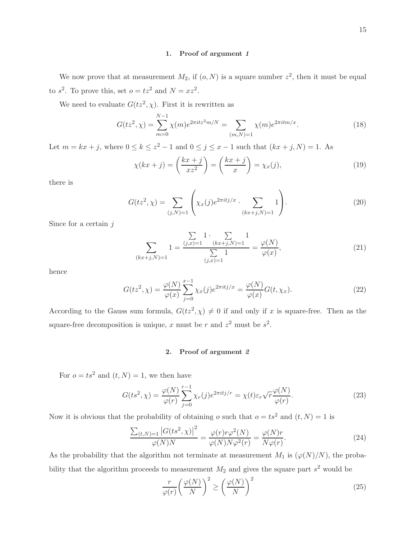#### 1. Proof of argument 1

We now prove that at measurement  $M_2$ , if  $(o, N)$  is a square number  $z^2$ , then it must be equal to  $s^2$ . To prove this, set  $o = tz^2$  and  $N = xz^2$ .

We need to evaluate  $G(tz^2, \chi)$ . First it is rewritten as

$$
G(tz^2, \chi) = \sum_{m=0}^{N-1} \chi(m)e^{2\pi i tz^2 m/N} = \sum_{(m,N)=1} \chi(m)e^{2\pi i t m/x}.
$$
 (18)

Let  $m = kx + j$ , where  $0 \le k \le z^2 - 1$  and  $0 \le j \le x - 1$  such that  $(kx + j, N) = 1$ . As

$$
\chi(kx+j) = \left(\frac{kx+j}{xz^2}\right) = \left(\frac{kx+j}{x}\right) = \chi_x(j),\tag{19}
$$

there is

$$
G(tz^2, \chi) = \sum_{(j,N)=1} \left( \chi_x(j) e^{2\pi i t j / x} \cdot \sum_{(kx+j,N)=1} 1 \right). \tag{20}
$$

Since for a certain  $j$ 

$$
\sum_{(kx+j,N)=1} 1 = \frac{\sum_{(j,x)=1} 1 \cdot \sum_{(kx+j,N)=1} 1}{\sum_{(j,x)=1} 1} = \frac{\varphi(N)}{\varphi(x)},\tag{21}
$$

hence

$$
G(tz^2, \chi) = \frac{\varphi(N)}{\varphi(x)} \sum_{j=0}^{x-1} \chi_x(j) e^{2\pi i t j/x} = \frac{\varphi(N)}{\varphi(x)} G(t, \chi_x).
$$
 (22)

According to the Gauss sum formula,  $G(tz^2, \chi) \neq 0$  if and only if x is square-free. Then as the square-free decomposition is unique, x must be r and  $z^2$  must be  $s^2$ .

#### 2. Proof of argument 2

For  $o = ts^2$  and  $(t, N) = 1$ , we then have

$$
G(ts^2, \chi) = \frac{\varphi(N)}{\varphi(r)} \sum_{j=0}^{r-1} \chi_r(j) e^{2\pi i t j/r} = \chi(t) \varepsilon_r \sqrt{r} \frac{\varphi(N)}{\varphi(r)}.
$$
 (23)

Now it is obvious that the probability of obtaining  $o$  such that  $o = ts^2$  and  $(t, N) = 1$  is

$$
\frac{\sum_{(t,N)=1} |G(ts^2, \chi)|^2}{\varphi(N)N} = \frac{\varphi(r)r\varphi^2(N)}{\varphi(N)N\varphi^2(r)} = \frac{\varphi(N)r}{N\varphi(r)}.
$$
\n(24)

As the probability that the algorithm not terminate at measurement  $M_1$  is  $(\varphi(N)/N)$ , the probability that the algorithm proceeds to measurement  $M_2$  and gives the square part  $s^2$  would be

$$
\frac{r}{\varphi(r)} \left(\frac{\varphi(N)}{N}\right)^2 \ge \left(\frac{\varphi(N)}{N}\right)^2\tag{25}
$$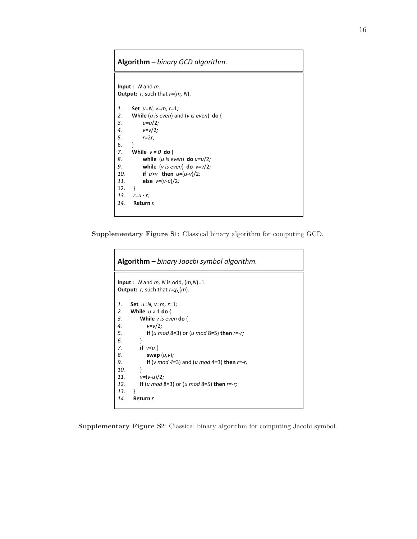### **Algorithm –** *binary GCD algorithm.*

```
Input : N and m.
Output: r, such that r=(m, N).
1. Set u=N, v=m, r=1;
2. While (u is even) and (v is even) do {
        3. u=u/2;
4. v=v/2;
5. r=2r;
6. }
7. While v \neq 0 do {
8. while (u is even) do u=u/2;
9. while (v is even) do v=v/2;
10. if u > v then u = (u-v)/2;
11. else v=(v-u)/2; 
12. }
13. r=u · r;
14. Return r.
```
Supplementary Figure S1: Classical binary algorithm for computing GCD.

```
Input : N and m, N is odd, (m,N)=1.
Output: r, such that r = \chi_N(m).
1. Set u=N, v=m, r=1;
2. While u \neq 1 do {
3. While v is even do {
4. v=v/2;
          5. if (u mod 8=3) or (u mod 8=5) then r=-r;
6. }
       7. if v<u {
8. swap (u,v);
9. if (v mod 4=3) and (u mod 4=3) then r=-r;
10. }
11. v=(v-u)/2;
12. if (u mod 8=3) or (u mod 8=5) then r=-r;
13. }
14. Return r.
Algorithm – binary Jaocbi symbol algorithm.
```
Supplementary Figure S2: Classical binary algorithm for computing Jacobi symbol.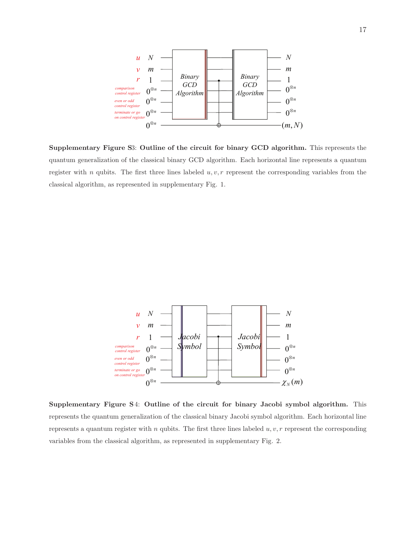

Supplementary Figure S3: Outline of the circuit for binary GCD algorithm. This represents the quantum generalization of the classical binary GCD algorithm. Each horizontal line represents a quantum register with n qubits. The first three lines labeled  $u, v, r$  represent the corresponding variables from the classical algorithm, as represented in supplementary Fig. 1.



Supplementary Figure S4: Outline of the circuit for binary Jacobi symbol algorithm. This represents the quantum generalization of the classical binary Jacobi symbol algorithm. Each horizontal line represents a quantum register with n qubits. The first three lines labeled  $u, v, r$  represent the corresponding variables from the classical algorithm, as represented in supplementary Fig. 2.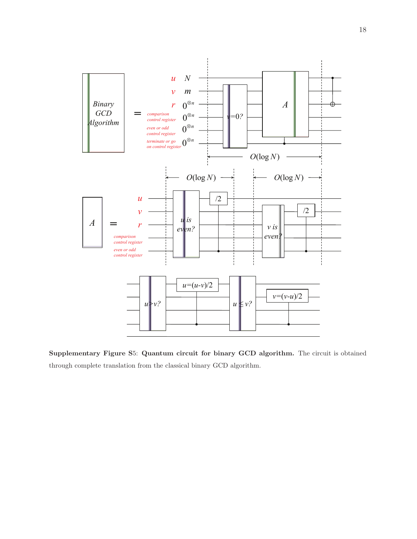

Supplementary Figure S5: Quantum circuit for binary GCD algorithm. The circuit is obtained through complete translation from the classical binary GCD algorithm.